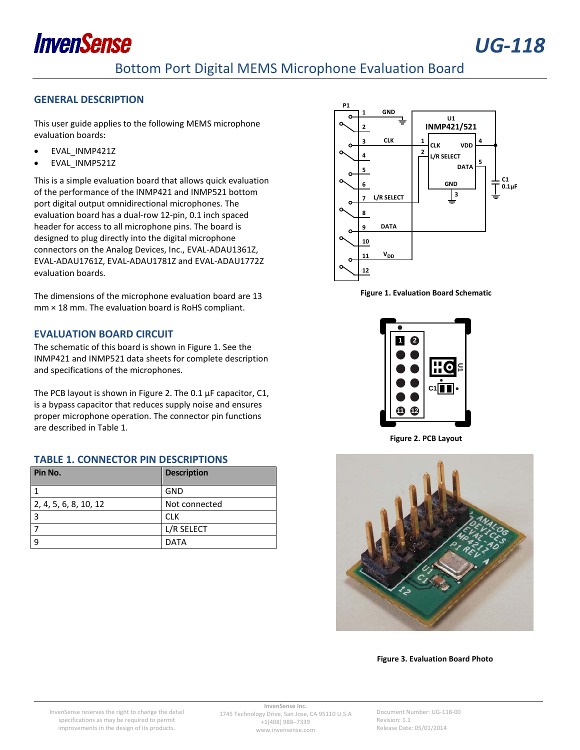

# Bottom Port Digital MEMS Microphone Evaluation Board

## **GENERAL DESCRIPTION**

This user guide applies to the following MEMS microphone evaluation boards:

- EVAL INMP421Z
- EVAL\_INMP521Z

This is a simple evaluation board that allows quick evaluation of the performance of the INMP421 and INMP521 bottom port digital output omnidirectional microphones. The evaluation board has a dual-row 12-pin, 0.1 inch spaced header for access to all microphone pins. The board is designed to plug directly into the digital microphone connectors on the Analog Devices, Inc., EVAL-ADAU1361Z, EVAL-ADAU1761Z, EVAL-ADAU1781Z and EVAL-ADAU1772Z evaluation boards.

The dimensions of the microphone evaluation board are 13 mm × 18 mm. The evaluation board is RoHS compliant.

## **EVALUATION BOARD CIRCUIT**

The schematic of this board is shown in [Figure 1.](#page-0-0) See the INMP421 and INMP521 data sheets for complete description and specifications of the microphones.

The PCB layout is shown in Figure 2. The 0.1 µF capacitor, C1, is a bypass capacitor that reduces supply noise and ensures proper microphone operation. The connector pin functions are described in [Table 1.](#page-0-1)

## <span id="page-0-1"></span>**TABLE 1. CONNECTOR PIN DESCRIPTIONS**

| Pin No.               | <b>Description</b> |
|-----------------------|--------------------|
|                       | <b>GND</b>         |
| 2, 4, 5, 6, 8, 10, 12 | Not connected      |
| 3                     | <b>CLK</b>         |
|                       | L/R SELECT         |
|                       | <b>DATA</b>        |



<span id="page-0-0"></span>**Figure 1. Evaluation Board Schematic**



**Figure 2. PCB Layout**



**Figure 3. Evaluation Board Photo**